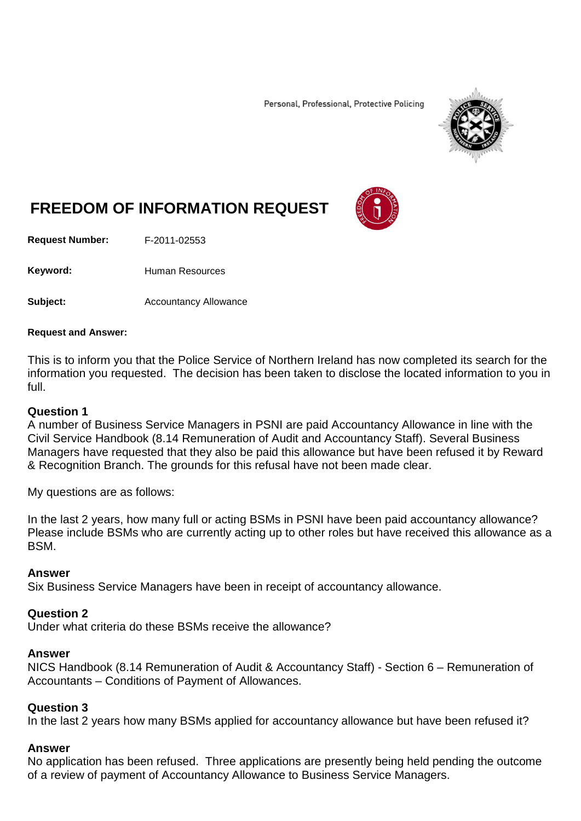Personal, Professional, Protective Policing



# **FREEDOM OF INFORMATION REQUEST**

**Request Number:** F-2011-02553

Keyword: Human Resources

**Subject:** Accountancy Allowance

#### **Request and Answer:**

This is to inform you that the Police Service of Northern Ireland has now completed its search for the information you requested. The decision has been taken to disclose the located information to you in full.

#### **Question 1**

A number of Business Service Managers in PSNI are paid Accountancy Allowance in line with the Civil Service Handbook (8.14 Remuneration of Audit and Accountancy Staff). Several Business Managers have requested that they also be paid this allowance but have been refused it by Reward & Recognition Branch. The grounds for this refusal have not been made clear.

My questions are as follows:

In the last 2 years, how many full or acting BSMs in PSNI have been paid accountancy allowance? Please include BSMs who are currently acting up to other roles but have received this allowance as a BSM.

#### **Answer**

Six Business Service Managers have been in receipt of accountancy allowance.

#### **Question 2**

Under what criteria do these BSMs receive the allowance?

#### **Answer**

NICS Handbook (8.14 Remuneration of Audit & Accountancy Staff) - Section 6 – Remuneration of Accountants – Conditions of Payment of Allowances.

#### **Question 3**

In the last 2 years how many BSMs applied for accountancy allowance but have been refused it?

#### **Answer**

No application has been refused. Three applications are presently being held pending the outcome of a review of payment of Accountancy Allowance to Business Service Managers.